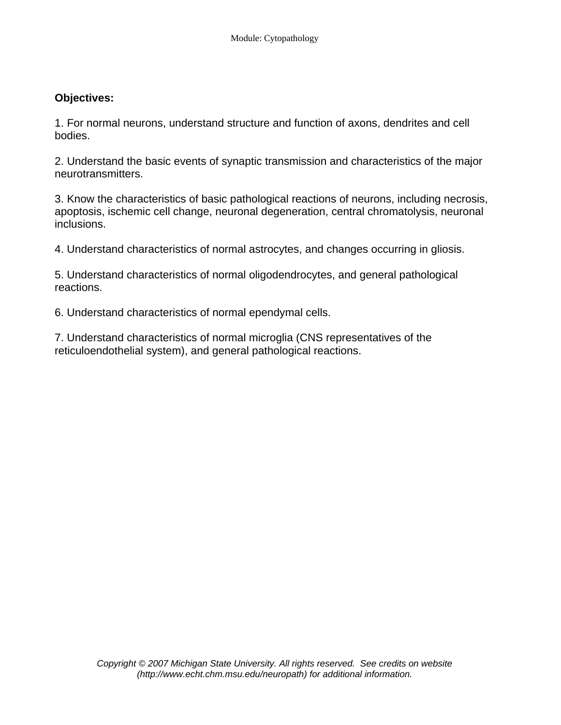### **Objectives:**

1. For normal neurons, understand structure and function of axons, dendrites and cell bodies.

2. Understand the basic events of synaptic transmission and characteristics of the major neurotransmitters.

3. Know the characteristics of basic pathological reactions of neurons, including necrosis, apoptosis, ischemic cell change, neuronal degeneration, central chromatolysis, neuronal inclusions.

4. Understand characteristics of normal astrocytes, and changes occurring in gliosis.

5. Understand characteristics of normal oligodendrocytes, and general pathological reactions.

6. Understand characteristics of normal ependymal cells.

7. Understand characteristics of normal microglia (CNS representatives of the reticuloendothelial system), and general pathological reactions.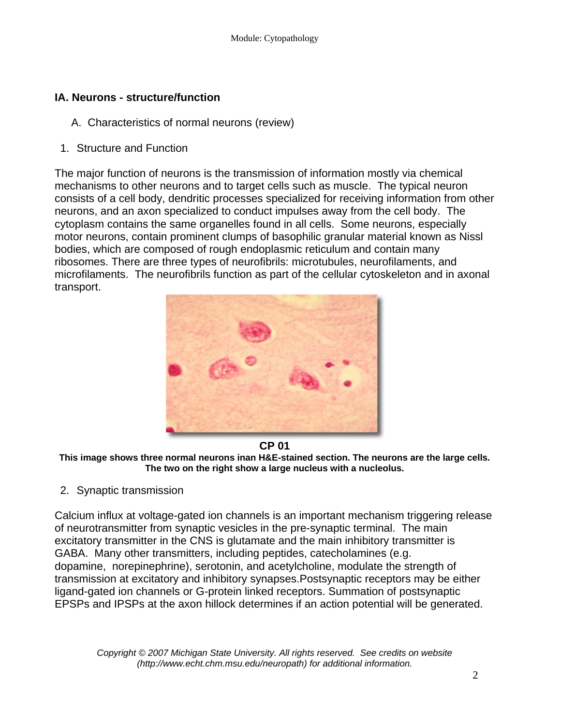# **IA. Neurons - structure/function**

- A. Characteristics of normal neurons (review)
- 1. Structure and Function

The major function of neurons is the transmission of information mostly via chemical mechanisms to other neurons and to target cells such as muscle. The typical neuron consists of a cell body, dendritic processes specialized for receiving information from other neurons, and an axon specialized to conduct impulses away from the cell body. The cytoplasm contains the same organelles found in all cells. Some neurons, especially motor neurons, contain prominent clumps of basophilic granular material known as Nissl bodies, which are composed of rough endoplasmic reticulum and contain many ribosomes. There are three types of neurofibrils: microtubules, neurofilaments, and microfilaments. The neurofibrils function as part of the cellular cytoskeleton and in axonal transport.



**CP 01 This image shows three normal neurons inan H&E-stained section. The neurons are the large cells. The two on the right show a large nucleus with a nucleolus.** 

2. Synaptic transmission

Calcium influx at voltage-gated ion channels is an important mechanism triggering release of neurotransmitter from synaptic vesicles in the pre-synaptic terminal. The main excitatory transmitter in the CNS is glutamate and the main inhibitory transmitter is GABA. Many other transmitters, including peptides, catecholamines (e.g. dopamine, norepinephrine), serotonin, and acetylcholine, modulate the strength of transmission at excitatory and inhibitory synapses.Postsynaptic receptors may be either ligand-gated ion channels or G-protein linked receptors. Summation of postsynaptic EPSPs and IPSPs at the axon hillock determines if an action potential will be generated.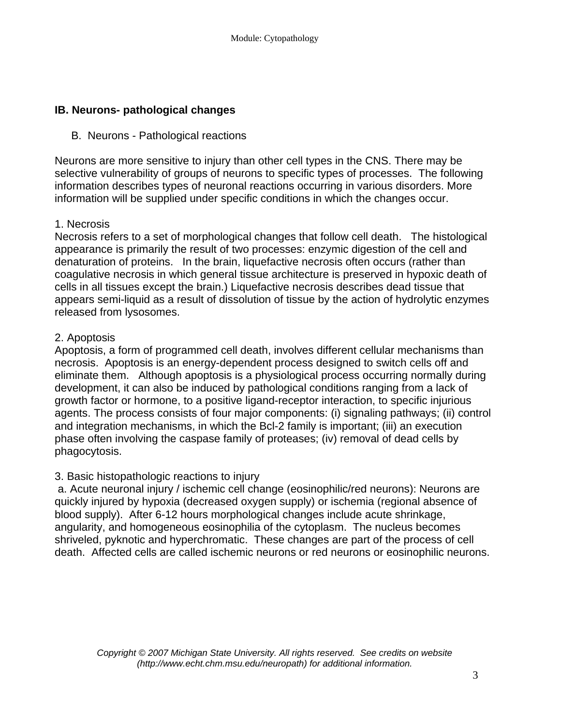## **IB. Neurons- pathological changes**

### B. Neurons - Pathological reactions

Neurons are more sensitive to injury than other cell types in the CNS. There may be selective vulnerability of groups of neurons to specific types of processes. The following information describes types of neuronal reactions occurring in various disorders. More information will be supplied under specific conditions in which the changes occur.

### 1. Necrosis

Necrosis refers to a set of morphological changes that follow cell death. The histological appearance is primarily the result of two processes: enzymic digestion of the cell and denaturation of proteins. In the brain, liquefactive necrosis often occurs (rather than coagulative necrosis in which general tissue architecture is preserved in hypoxic death of cells in all tissues except the brain.) Liquefactive necrosis describes dead tissue that appears semi-liquid as a result of dissolution of tissue by the action of hydrolytic enzymes released from lysosomes.

### 2. Apoptosis

Apoptosis, a form of programmed cell death, involves different cellular mechanisms than necrosis. Apoptosis is an energy-dependent process designed to switch cells off and eliminate them. Although apoptosis is a physiological process occurring normally during development, it can also be induced by pathological conditions ranging from a lack of growth factor or hormone, to a positive ligand-receptor interaction, to specific injurious agents. The process consists of four major components: (i) signaling pathways; (ii) control and integration mechanisms, in which the Bcl-2 family is important; (iii) an execution phase often involving the caspase family of proteases; (iv) removal of dead cells by phagocytosis.

### 3. Basic histopathologic reactions to injury

 a. Acute neuronal injury / ischemic cell change (eosinophilic/red neurons): Neurons are quickly injured by hypoxia (decreased oxygen supply) or ischemia (regional absence of blood supply). After 6-12 hours morphological changes include acute shrinkage, angularity, and homogeneous eosinophilia of the cytoplasm. The nucleus becomes shriveled, pyknotic and hyperchromatic. These changes are part of the process of cell death. Affected cells are called ischemic neurons or red neurons or eosinophilic neurons.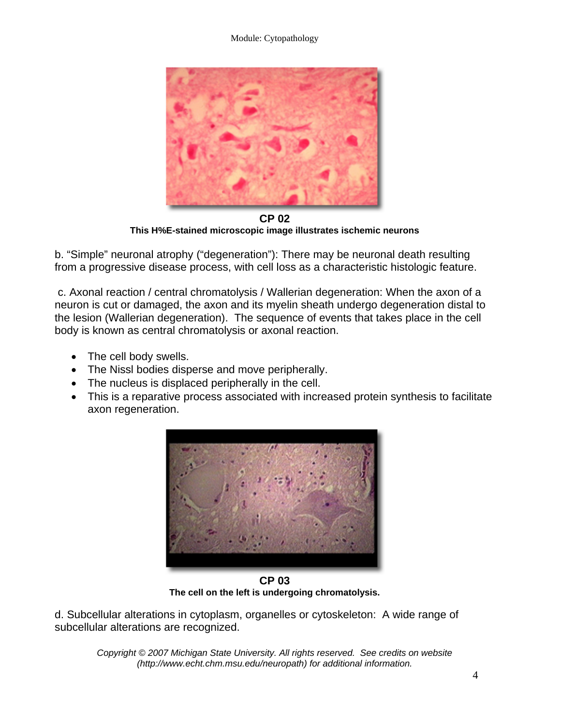#### Module: Cytopathology



**CP 02 This H%E-stained microscopic image illustrates ischemic neurons** 

b. "Simple" neuronal atrophy ("degeneration"): There may be neuronal death resulting from a progressive disease process, with cell loss as a characteristic histologic feature.

 c. Axonal reaction / central chromatolysis / Wallerian degeneration: When the axon of a neuron is cut or damaged, the axon and its myelin sheath undergo degeneration distal to the lesion (Wallerian degeneration). The sequence of events that takes place in the cell body is known as central chromatolysis or axonal reaction.

- The cell body swells.
- The Nissl bodies disperse and move peripherally.
- The nucleus is displaced peripherally in the cell.
- This is a reparative process associated with increased protein synthesis to facilitate axon regeneration.



**CP 03 The cell on the left is undergoing chromatolysis.** 

d. Subcellular alterations in cytoplasm, organelles or cytoskeleton: A wide range of subcellular alterations are recognized.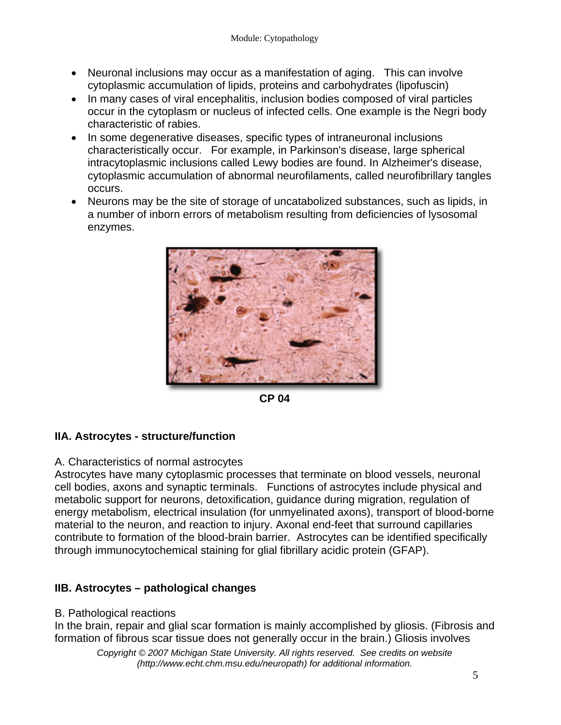- Neuronal inclusions may occur as a manifestation of aging. This can involve cytoplasmic accumulation of lipids, proteins and carbohydrates (lipofuscin)
- In many cases of viral encephalitis, inclusion bodies composed of viral particles occur in the cytoplasm or nucleus of infected cells. One example is the Negri body characteristic of rabies.
- In some degenerative diseases, specific types of intraneuronal inclusions characteristically occur. For example, in Parkinson's disease, large spherical intracytoplasmic inclusions called Lewy bodies are found. In Alzheimer's disease, cytoplasmic accumulation of abnormal neurofilaments, called neurofibrillary tangles occurs.
- Neurons may be the site of storage of uncatabolized substances, such as lipids, in a number of inborn errors of metabolism resulting from deficiencies of lysosomal enzymes.



**CP 04** 

## **IIA. Astrocytes - structure/function**

### A. Characteristics of normal astrocytes

Astrocytes have many cytoplasmic processes that terminate on blood vessels, neuronal cell bodies, axons and synaptic terminals. Functions of astrocytes include physical and metabolic support for neurons, detoxification, guidance during migration, regulation of energy metabolism, electrical insulation (for unmyelinated axons), transport of blood-borne material to the neuron, and reaction to injury. Axonal end-feet that surround capillaries contribute to formation of the blood-brain barrier. Astrocytes can be identified specifically through immunocytochemical staining for glial fibrillary acidic protein (GFAP).

## **IIB. Astrocytes – pathological changes**

### B. Pathological reactions

In the brain, repair and glial scar formation is mainly accomplished by gliosis. (Fibrosis and formation of fibrous scar tissue does not generally occur in the brain.) Gliosis involves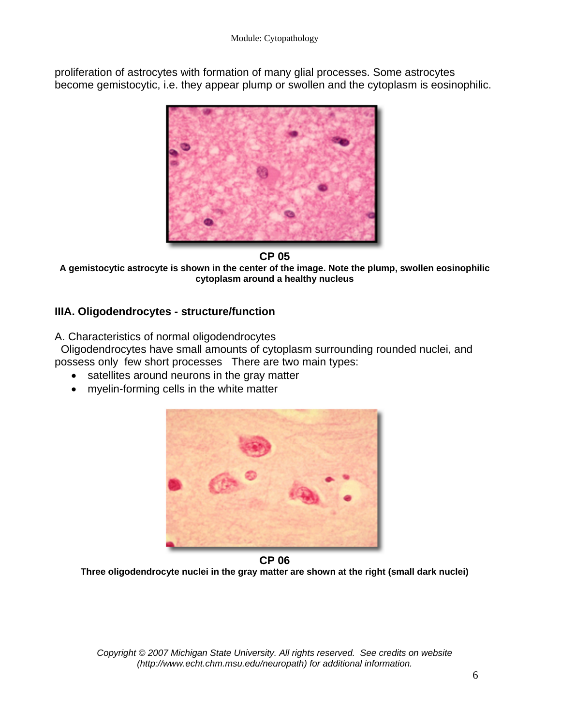proliferation of astrocytes with formation of many glial processes. Some astrocytes become gemistocytic, i.e. they appear plump or swollen and the cytoplasm is eosinophilic.



**CP 05** 

**A gemistocytic astrocyte is shown in the center of the image. Note the plump, swollen eosinophilic cytoplasm around a healthy nucleus** 

# **IIIA. Oligodendrocytes - structure/function**

A. Characteristics of normal oligodendrocytes

 Oligodendrocytes have small amounts of cytoplasm surrounding rounded nuclei, and possess only few short processes There are two main types:

- satellites around neurons in the gray matter
- myelin-forming cells in the white matter



**CP 06 Three oligodendrocyte nuclei in the gray matter are shown at the right (small dark nuclei)**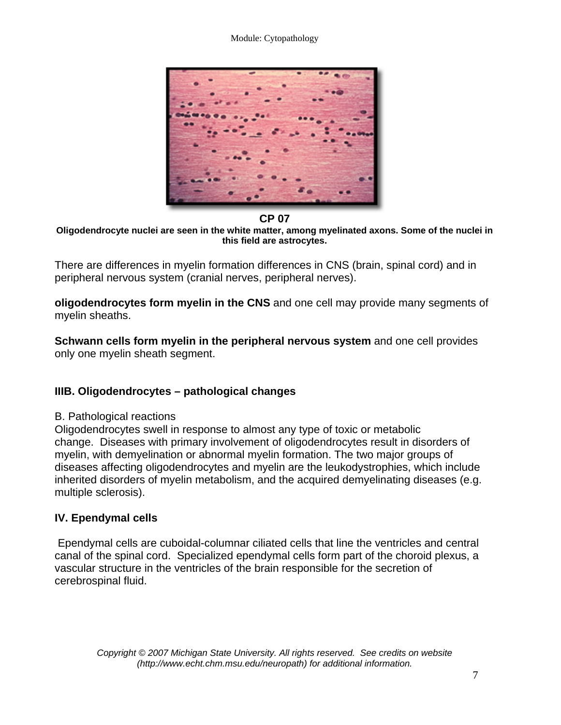#### Module: Cytopathology



#### **CP 07**

**Oligodendrocyte nuclei are seen in the white matter, among myelinated axons. Some of the nuclei in this field are astrocytes.** 

There are differences in myelin formation differences in CNS (brain, spinal cord) and in peripheral nervous system (cranial nerves, peripheral nerves).

**oligodendrocytes form myelin in the CNS** and one cell may provide many segments of myelin sheaths.

**Schwann cells form myelin in the peripheral nervous system** and one cell provides only one myelin sheath segment.

## **IIIB. Oligodendrocytes – pathological changes**

#### B. Pathological reactions

Oligodendrocytes swell in response to almost any type of toxic or metabolic change. Diseases with primary involvement of oligodendrocytes result in disorders of myelin, with demyelination or abnormal myelin formation. The two major groups of diseases affecting oligodendrocytes and myelin are the leukodystrophies, which include inherited disorders of myelin metabolism, and the acquired demyelinating diseases (e.g. multiple sclerosis).

## **IV. Ependymal cells**

 Ependymal cells are cuboidal-columnar ciliated cells that line the ventricles and central canal of the spinal cord. Specialized ependymal cells form part of the choroid plexus, a vascular structure in the ventricles of the brain responsible for the secretion of cerebrospinal fluid.